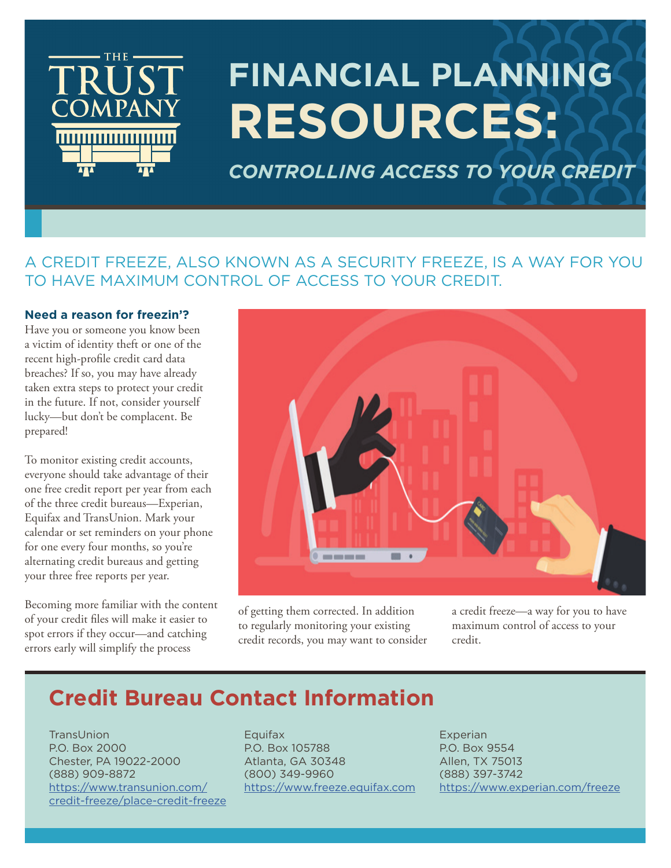

# **FINANCIAL PLANNING RESOURCES:**

*CONTROLLING ACCESS TO YOUR CREDIT*

### A CREDIT FREEZE, ALSO KNOWN AS A SECURITY FREEZE, IS A WAY FOR YOU TO HAVE MAXIMUM CONTROL OF ACCESS TO YOUR CREDIT.

#### **Need a reason for freezin'?**

Have you or someone you know been a victim of identity theft or one of the recent high-profile credit card data breaches? If so, you may have already taken extra steps to protect your credit in the future. If not, consider yourself lucky—but don't be complacent. Be prepared!

To monitor existing credit accounts, everyone should take advantage of their one free credit report per year from each of the three credit bureaus—Experian, Equifax and TransUnion. Mark your calendar or set reminders on your phone for one every four months, so you're alternating credit bureaus and getting your three free reports per year.

Becoming more familiar with the content of your credit files will make it easier to spot errors if they occur—and catching errors early will simplify the process



of getting them corrected. In addition to regularly monitoring your existing credit records, you may want to consider a credit freeze—a way for you to have maximum control of access to your credit.

# **Credit Bureau Contact Information**

**TransUnion** P.O. Box 2000 Chester, PA 19022-2000 (888) 909-8872 [https://www.transunion.com/](https://www.transunion.com/credit-freeze/place-credit-freeze) [credit-freeze/place-credit-freeze](https://www.transunion.com/credit-freeze/place-credit-freeze) Equifax P.O. Box 105788 Atlanta, GA 30348 (800) 349-9960 <https://www.freeze.equifax.com>

Experian P.O. Box 9554 Allen, TX 75013 (888) 397-3742 <https://www.experian.com/freeze>